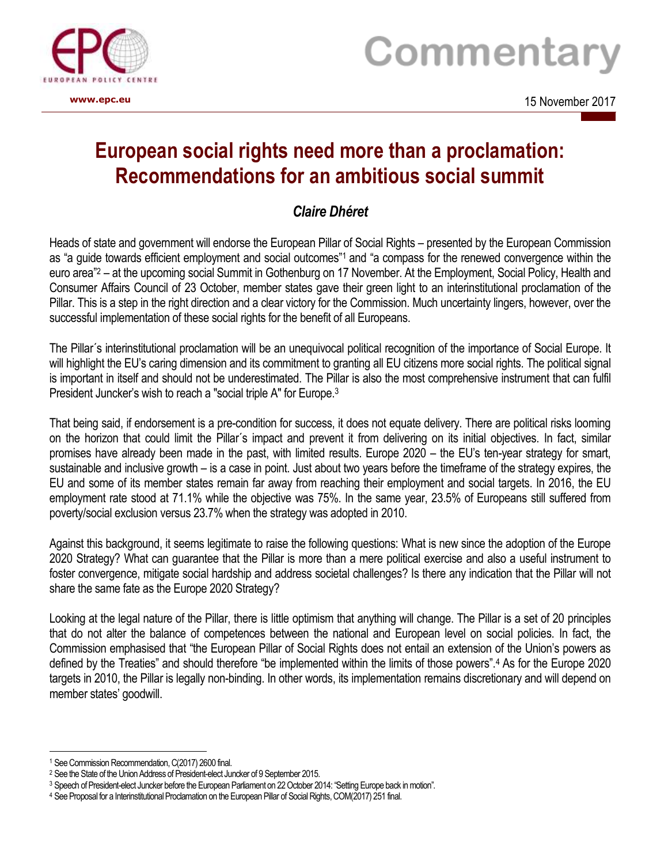

## Commentary

**www.epc.eu** 2017 and the set of the set of the set of the set of the set of the set of the set of the set of the set of the set of the set of the set of the set of the set of the set of the set of the set of the set of th

## **European social rights need more than a proclamation: Recommendations for an ambitious social summit**

## *Claire Dhéret*

Heads of state and government will endorse the European Pillar of Social Rights – presented by the European Commission as "a guide towards efficient employment and social outcomes"<sup>1</sup> and "a compass for the renewed convergence within the euro area"<sup>2</sup> – at the upcoming social Summit in Gothenburg on 17 November. At the Employment, Social Policy, Health and Consumer Affairs Council of 23 October, member states gave their green light to an interinstitutional proclamation of the Pillar. This is a step in the right direction and a clear victory for the Commission. Much uncertainty lingers, however, over the successful implementation of these social rights for the benefit of all Europeans.

The Pillar´s interinstitutional proclamation will be an unequivocal political recognition of the importance of Social Europe. It will highlight the EU's caring dimension and its commitment to granting all EU citizens more social rights. The political signal is important in itself and should not be underestimated. The Pillar is also the most comprehensive instrument that can fulfil President Juncker's wish to reach a "social triple A" for Europe.<sup>3</sup>

That being said, if endorsement is a pre-condition for success, it does not equate delivery. There are political risks looming on the horizon that could limit the Pillar´s impact and prevent it from delivering on its initial objectives. In fact, similar promises have already been made in the past, with limited results. Europe 2020 – the EU's ten-year strategy for smart, sustainable and inclusive growth – is a case in point. Just about two years before the timeframe of the strategy expires, the EU and some of its member states remain far away from reaching their employment and social targets. In 2016, the EU employment rate stood at 71.1% while the objective was 75%. In the same year, 23.5% of Europeans still suffered from poverty/social exclusion versus 23.7% when the strategy was adopted in 2010.

Against this background, it seems legitimate to raise the following questions: What is new since the adoption of the Europe 2020 Strategy? What can guarantee that the Pillar is more than a mere political exercise and also a useful instrument to foster convergence, mitigate social hardship and address societal challenges? Is there any indication that the Pillar will not share the same fate as the Europe 2020 Strategy?

Looking at the legal nature of the Pillar, there is little optimism that anything will change. The Pillar is a set of 20 principles that do not alter the balance of competences between the national and European level on social policies. In fact, the Commission emphasised that "the European Pillar of Social Rights does not entail an extension of the Union's powers as defined by the Treaties" and should therefore "be implemented within the limits of those powers".<sup>4</sup> As for the Europe 2020 targets in 2010, the Pillar is legally non-binding. In other words, its implementation remains discretionary and will depend on member states' goodwill.

<sup>&</sup>lt;u>.</u> <sup>1</sup> See Commission Recommendation, C(2017) 2600 final.

<sup>2</sup> See the State of the Union Address of President-elect Juncker of 9 September 2015.

<sup>3</sup> Speech of President-elect Juncker before the European Parliament on 22 October 2014: "Setting Europe back in motion".

<sup>4</sup> See Proposal for a Interinstitutional Proclamation on the European Pillar of Social Rights, COM(2017) 251 final.